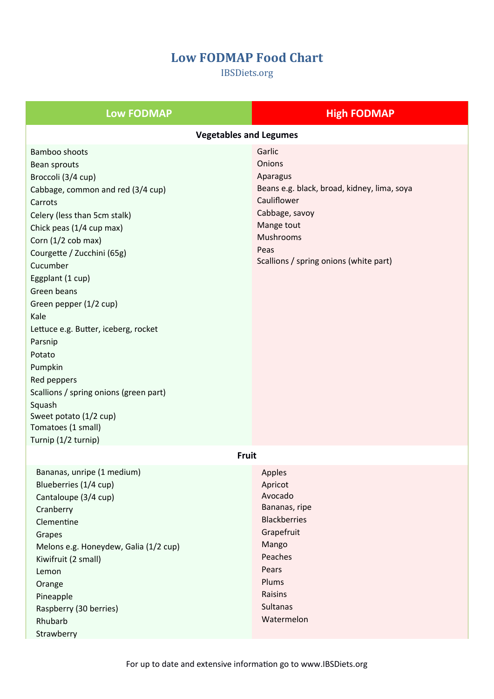# **Low FODMAP Food Chart**

IBSDiets.org

# **Low FODMAP High FODMAP**

# **Vegetables and Legumes**

Bamboo shoots Bean sprouts Broccoli (3/4 cup) Cabbage, common and red (3/4 cup) Carrots Celery (less than 5cm stalk) Chick peas (1/4 cup max) Corn (1/2 cob max) Courgette / Zucchini (65g) Cucumber Eggplant (1 cup) Green beans Green pepper (1/2 cup) Kale Lettuce e.g. Butter, iceberg, rocket Parsnip Potato Pumpkin Red peppers Scallions / spring onions (green part) Squash Sweet potato (1/2 cup) Tomatoes (1 small) Turnip (1/2 turnip)

Garlic Onions Aparagus Beans e.g. black, broad, kidney, lima, soya Cauliflower Cabbage, savoy Mange tout Mushrooms Peas Scallions / spring onions (white part)

### **Fruit**

| Bananas, unripe (1 medium)            | Apples              |
|---------------------------------------|---------------------|
| Blueberries (1/4 cup)                 | Apricot             |
| Cantaloupe (3/4 cup)                  | Avocado             |
| Cranberry                             | Bananas, ripe       |
| Clementine                            | <b>Blackberries</b> |
| Grapes                                | Grapefruit          |
| Melons e.g. Honeydew, Galia (1/2 cup) | Mango               |
| Kiwifruit (2 small)                   | Peaches             |
| Lemon                                 | Pears               |
| Orange                                | Plums               |
| Pineapple                             | Raisins             |
| Raspberry (30 berries)                | <b>Sultanas</b>     |
| Rhubarb                               | Watermelon          |
| Strawberry                            |                     |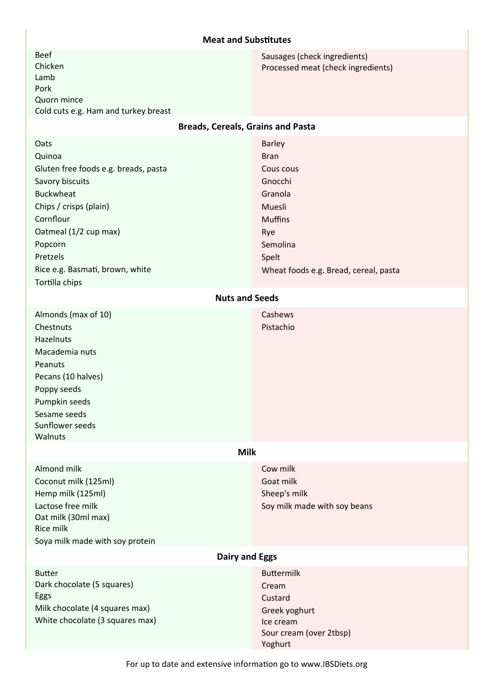# **Meat and Substitutes**

| <b>Beef</b>                          |
|--------------------------------------|
| Chicken                              |
| Lamb                                 |
| Pork                                 |
| Quorn mince                          |
| Cold cuts e.g. Ham and turkey breast |
|                                      |

# Sausages (check ingredients) Processed meat (check ingredients)

**Breads, Cereals, Grains and Pasta**

| Oats<br>Quinoa<br>Gluten free foods e.g. breads, pasta<br>Savory biscuits<br><b>Buckwheat</b><br>Chips / crisps (plain)<br>Cornflour<br>Oatmeal (1/2 cup max)<br>Popcorn<br>Pretzels<br>Rice e.g. Basmati, brown, white<br>Tortilla chips<br><b>Nuts and Seeds</b> | <b>Barley</b><br><b>Bran</b><br>Cous cous<br>Gnocchi<br>Granola<br>Muesli<br><b>Muffins</b><br>Rye<br>Semolina<br>Spelt<br>Wheat foods e.g. Bread, cereal, pasta |  |
|--------------------------------------------------------------------------------------------------------------------------------------------------------------------------------------------------------------------------------------------------------------------|------------------------------------------------------------------------------------------------------------------------------------------------------------------|--|
| Almonds (max of 10)<br>Chestnuts<br>Hazelnuts<br>Macademia nuts<br>Peanuts<br>Pecans (10 halves)<br>Poppy seeds<br>Pumpkin seeds<br>Sesame seeds<br>Sunflower seeds<br>Walnuts                                                                                     | Cashews<br>Pistachio                                                                                                                                             |  |
| <b>Milk</b>                                                                                                                                                                                                                                                        |                                                                                                                                                                  |  |
| Almond milk<br>Coconut milk (125ml)<br>Hemp milk (125ml)<br>Lactose free milk<br>Oat milk (30ml max)<br>Rice milk<br>Soya milk made with soy protein                                                                                                               | Cow milk<br>Goat milk<br>Sheep's milk<br>Soy milk made with soy beans                                                                                            |  |
| <b>Dairy and Eggs</b>                                                                                                                                                                                                                                              |                                                                                                                                                                  |  |
| <b>Butter</b><br>Dark chocolate (5 squares)<br>Eggs<br>Milk chocolate (4 squares max)<br>White chocolate (3 squares max)                                                                                                                                           | <b>Buttermilk</b><br>Cream<br>Custard<br>Greek yoghurt<br>Ice cream<br>Sour cream (over 2tbsp)<br>Yoghurt                                                        |  |